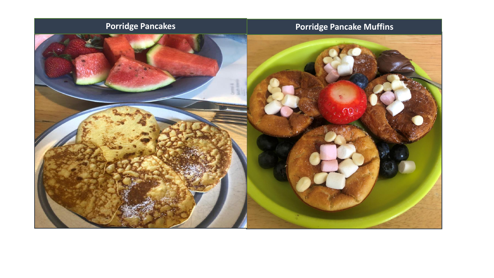## **Porridge Pancakes Porridge Pancake Muffins**

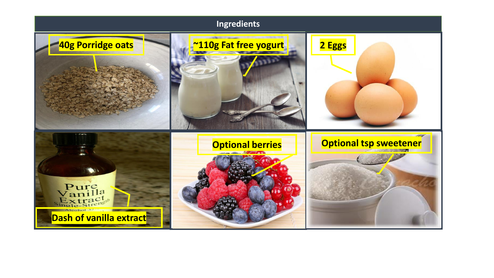# **Ingredients 40g Porridge oats ~110g Fat free yogurt 2 Eggs Search Optional berries Optional tsp sweetener**Pure<br>Vanilla<br>Extracta **Dash of vanilla extract**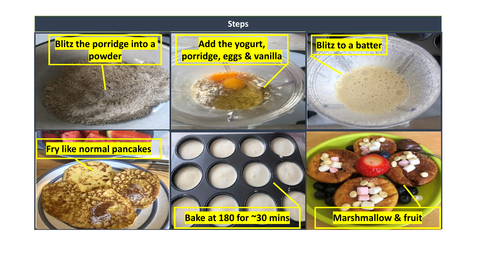